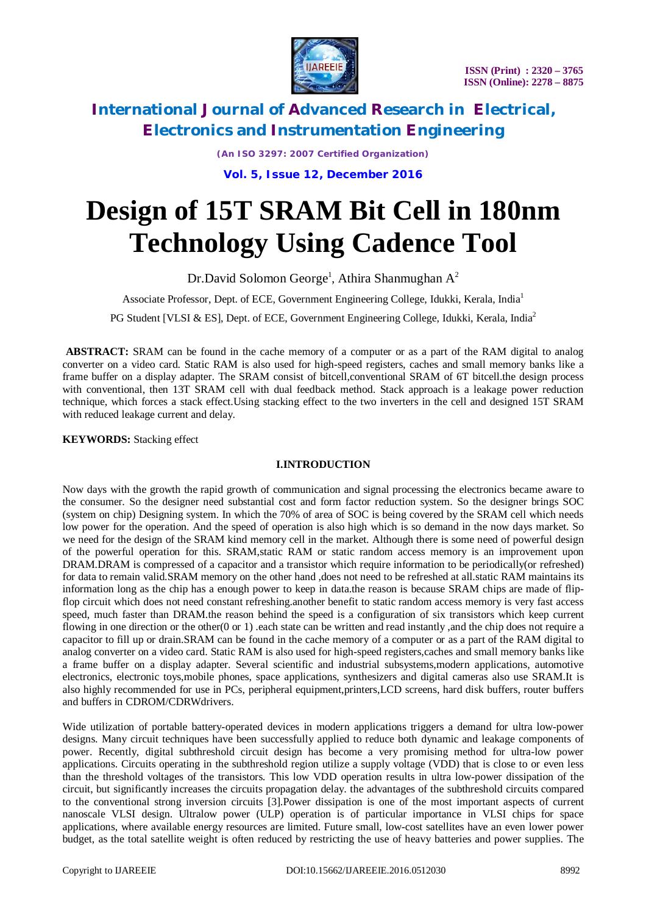

*(An ISO 3297: 2007 Certified Organization)*

**Vol. 5, Issue 12, December 2016**

# **Design of 15T SRAM Bit Cell in 180nm Technology Using Cadence Tool**

Dr.David Solomon George<sup>1</sup>, Athira Shanmughan A<sup>2</sup>

Associate Professor, Dept. of ECE, Government Engineering College, Idukki, Kerala, India<sup>1</sup>

PG Student [VLSI & ES], Dept. of ECE, Government Engineering College, Idukki, Kerala, India<sup>2</sup>

**ABSTRACT:** SRAM can be found in the cache memory of a computer or as a part of the RAM digital to analog converter on a video card. Static RAM is also used for high-speed registers, caches and small memory banks like a frame buffer on a display adapter. The SRAM consist of bitcell,conventional SRAM of 6T bitcell.the design process with conventional, then 13T SRAM cell with dual feedback method. Stack approach is a leakage power reduction technique, which forces a stack effect.Using stacking effect to the two inverters in the cell and designed 15T SRAM with reduced leakage current and delay.

**KEYWORDS:** Stacking effect

# **I.INTRODUCTION**

Now days with the growth the rapid growth of communication and signal processing the electronics became aware to the consumer. So the designer need substantial cost and form factor reduction system. So the designer brings SOC (system on chip) Designing system. In which the 70% of area of SOC is being covered by the SRAM cell which needs low power for the operation. And the speed of operation is also high which is so demand in the now days market. So we need for the design of the SRAM kind memory cell in the market. Although there is some need of powerful design of the powerful operation for this. SRAM,static RAM or static random access memory is an improvement upon DRAM.DRAM is compressed of a capacitor and a transistor which require information to be periodically(or refreshed) for data to remain valid.SRAM memory on the other hand ,does not need to be refreshed at all.static RAM maintains its information long as the chip has a enough power to keep in data.the reason is because SRAM chips are made of flipflop circuit which does not need constant refreshing.another benefit to static random access memory is very fast access speed, much faster than DRAM.the reason behind the speed is a configuration of six transistors which keep current flowing in one direction or the other(0 or 1) .each state can be written and read instantly ,and the chip does not require a capacitor to fill up or drain.SRAM can be found in the cache memory of a computer or as a part of the RAM digital to analog converter on a video card. Static RAM is also used for high-speed registers,caches and small memory banks like a frame buffer on a display adapter. Several scientific and industrial subsystems,modern applications, automotive electronics, electronic toys,mobile phones, space applications, synthesizers and digital cameras also use SRAM.It is also highly recommended for use in PCs, peripheral equipment,printers,LCD screens, hard disk buffers, router buffers and buffers in CDROM/CDRWdrivers.

Wide utilization of portable battery-operated devices in modern applications triggers a demand for ultra low-power designs. Many circuit techniques have been successfully applied to reduce both dynamic and leakage components of power. Recently, digital subthreshold circuit design has become a very promising method for ultra-low power applications. Circuits operating in the subthreshold region utilize a supply voltage (VDD) that is close to or even less than the threshold voltages of the transistors. This low VDD operation results in ultra low-power dissipation of the circuit, but significantly increases the circuits propagation delay. the advantages of the subthreshold circuits compared to the conventional strong inversion circuits [3].Power dissipation is one of the most important aspects of current nanoscale VLSI design. Ultralow power (ULP) operation is of particular importance in VLSI chips for space applications, where available energy resources are limited. Future small, low-cost satellites have an even lower power budget, as the total satellite weight is often reduced by restricting the use of heavy batteries and power supplies. The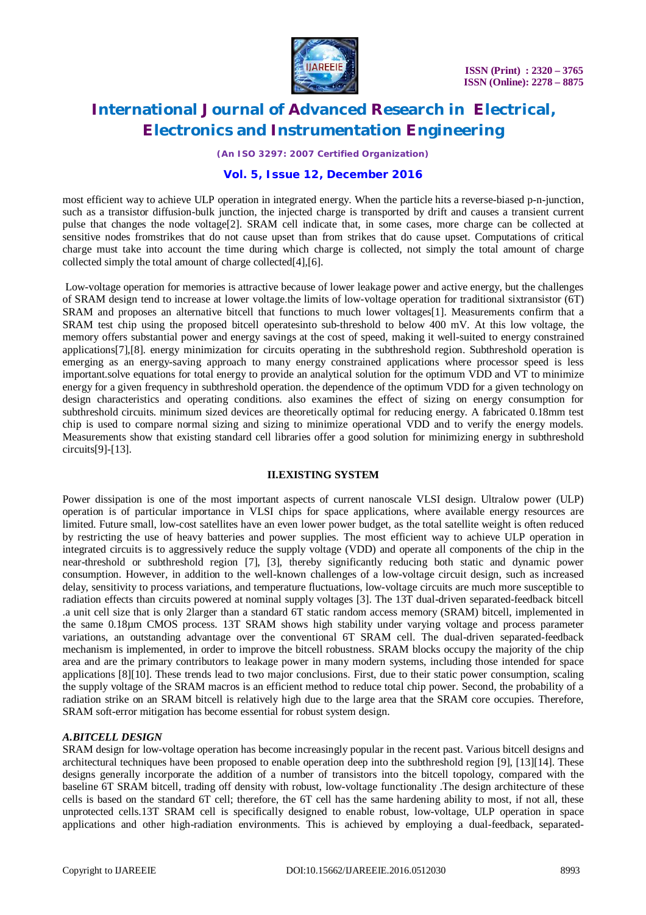

*(An ISO 3297: 2007 Certified Organization)*

# **Vol. 5, Issue 12, December 2016**

most efficient way to achieve ULP operation in integrated energy. When the particle hits a reverse-biased p-n-junction, such as a transistor diffusion-bulk junction, the injected charge is transported by drift and causes a transient current pulse that changes the node voltage[2]. SRAM cell indicate that, in some cases, more charge can be collected at sensitive nodes fromstrikes that do not cause upset than from strikes that do cause upset. Computations of critical charge must take into account the time during which charge is collected, not simply the total amount of charge collected simply the total amount of charge collected[4],[6].

Low-voltage operation for memories is attractive because of lower leakage power and active energy, but the challenges of SRAM design tend to increase at lower voltage.the limits of low-voltage operation for traditional sixtransistor (6T) SRAM and proposes an alternative bitcell that functions to much lower voltages[1]. Measurements confirm that a SRAM test chip using the proposed bitcell operatesinto sub-threshold to below 400 mV. At this low voltage, the memory offers substantial power and energy savings at the cost of speed, making it well-suited to energy constrained applications[7],[8]. energy minimization for circuits operating in the subthreshold region. Subthreshold operation is emerging as an energy-saving approach to many energy constrained applications where processor speed is less important.solve equations for total energy to provide an analytical solution for the optimum VDD and VT to minimize energy for a given frequency in subthreshold operation. the dependence of the optimum VDD for a given technology on design characteristics and operating conditions. also examines the effect of sizing on energy consumption for subthreshold circuits. minimum sized devices are theoretically optimal for reducing energy. A fabricated 0.18mm test chip is used to compare normal sizing and sizing to minimize operational VDD and to verify the energy models. Measurements show that existing standard cell libraries offer a good solution for minimizing energy in subthreshold circuits[9]-[13].

# **II.EXISTING SYSTEM**

Power dissipation is one of the most important aspects of current nanoscale VLSI design. Ultralow power (ULP) operation is of particular importance in VLSI chips for space applications, where available energy resources are limited. Future small, low-cost satellites have an even lower power budget, as the total satellite weight is often reduced by restricting the use of heavy batteries and power supplies. The most efficient way to achieve ULP operation in integrated circuits is to aggressively reduce the supply voltage (VDD) and operate all components of the chip in the near-threshold or subthreshold region [7], [3], thereby significantly reducing both static and dynamic power consumption. However, in addition to the well-known challenges of a low-voltage circuit design, such as increased delay, sensitivity to process variations, and temperature fluctuations, low-voltage circuits are much more susceptible to radiation effects than circuits powered at nominal supply voltages [3]. The 13T dual-driven separated-feedback bitcell .a unit cell size that is only 2larger than a standard 6T static random access memory (SRAM) bitcell, implemented in the same 0.18µm CMOS process. 13T SRAM shows high stability under varying voltage and process parameter variations, an outstanding advantage over the conventional 6T SRAM cell. The dual-driven separated-feedback mechanism is implemented, in order to improve the bitcell robustness. SRAM blocks occupy the majority of the chip area and are the primary contributors to leakage power in many modern systems, including those intended for space applications [8][10]. These trends lead to two major conclusions. First, due to their static power consumption, scaling the supply voltage of the SRAM macros is an efficient method to reduce total chip power. Second, the probability of a radiation strike on an SRAM bitcell is relatively high due to the large area that the SRAM core occupies. Therefore, SRAM soft-error mitigation has become essential for robust system design.

# *A.BITCELL DESIGN*

SRAM design for low-voltage operation has become increasingly popular in the recent past. Various bitcell designs and architectural techniques have been proposed to enable operation deep into the subthreshold region [9], [13][14]. These designs generally incorporate the addition of a number of transistors into the bitcell topology, compared with the baseline 6T SRAM bitcell, trading off density with robust, low-voltage functionality .The design architecture of these cells is based on the standard 6T cell; therefore, the 6T cell has the same hardening ability to most, if not all, these unprotected cells.13T SRAM cell is specifically designed to enable robust, low-voltage, ULP operation in space applications and other high-radiation environments. This is achieved by employing a dual-feedback, separated-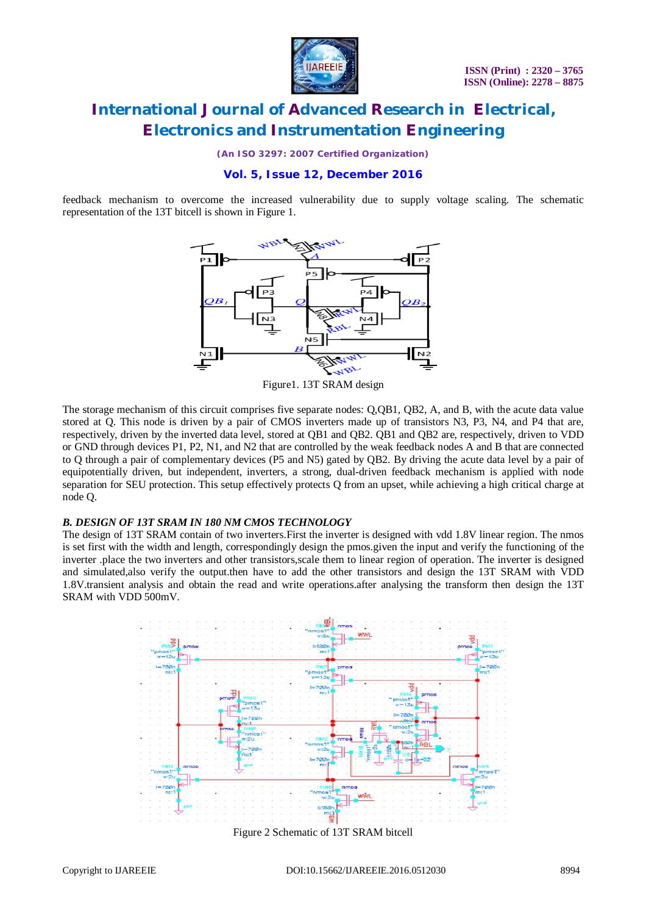

*(An ISO 3297: 2007 Certified Organization)*

# **Vol. 5, Issue 12, December 2016**

feedback mechanism to overcome the increased vulnerability due to supply voltage scaling. The schematic representation of the 13T bitcell is shown in Figure 1.



Figure1. 13T SRAM design

The storage mechanism of this circuit comprises five separate nodes: Q,QB1, QB2, A, and B, with the acute data value stored at Q. This node is driven by a pair of CMOS inverters made up of transistors N3, P3, N4, and P4 that are, respectively, driven by the inverted data level, stored at QB1 and QB2. QB1 and QB2 are, respectively, driven to VDD or GND through devices P1, P2, N1, and N2 that are controlled by the weak feedback nodes A and B that are connected to Q through a pair of complementary devices (P5 and N5) gated by QB2. By driving the acute data level by a pair of equipotentially driven, but independent, inverters, a strong, dual-driven feedback mechanism is applied with node separation for SEU protection. This setup effectively protects Q from an upset, while achieving a high critical charge at node Q.

### *B. DESIGN OF 13T SRAM IN 180 NM CMOS TECHNOLOGY*

The design of 13T SRAM contain of two inverters.First the inverter is designed with vdd 1.8V linear region. The nmos is set first with the width and length, correspondingly design the pmos.given the input and verify the functioning of the inverter .place the two inverters and other transistors,scale them to linear region of operation. The inverter is designed and simulated,also verify the output.then have to add the other transistors and design the 13T SRAM with VDD 1.8V.transient analysis and obtain the read and write operations.after analysing the transform then design the 13T SRAM with VDD 500mV.



Figure 2 Schematic of 13T SRAM bitcell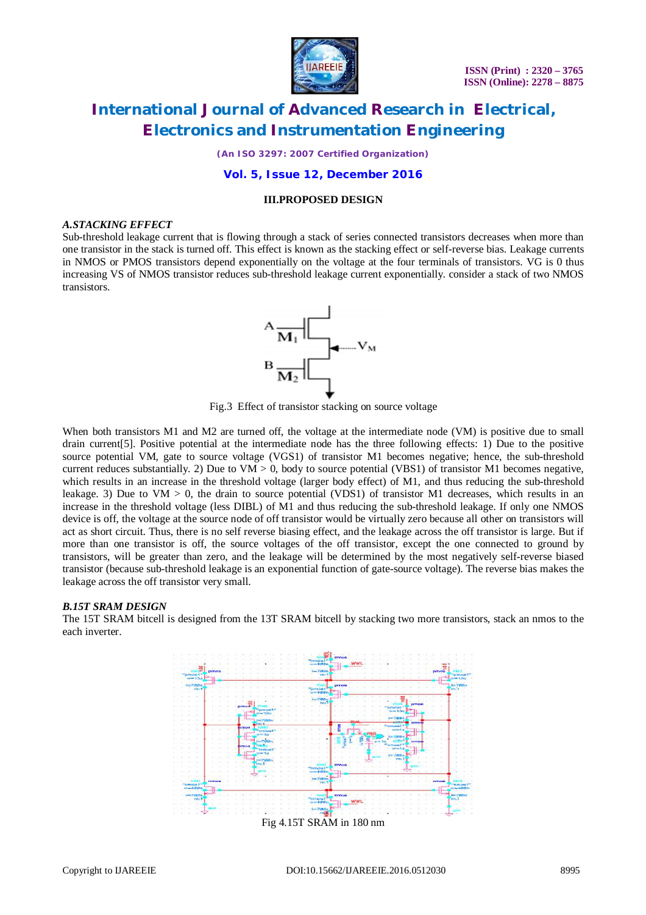

*(An ISO 3297: 2007 Certified Organization)*

## **Vol. 5, Issue 12, December 2016**

## **III.PROPOSED DESIGN**

#### *A.STACKING EFFECT*

Sub-threshold leakage current that is flowing through a stack of series connected transistors decreases when more than one transistor in the stack is turned off. This effect is known as the stacking effect or self-reverse bias. Leakage currents in NMOS or PMOS transistors depend exponentially on the voltage at the four terminals of transistors. VG is 0 thus increasing VS of NMOS transistor reduces sub-threshold leakage current exponentially. consider a stack of two NMOS transistors.



Fig.3 Effect of transistor stacking on source voltage

When both transistors M1 and M2 are turned off, the voltage at the intermediate node (VM) is positive due to small drain current[5]. Positive potential at the intermediate node has the three following effects: 1) Due to the positive source potential VM, gate to source voltage (VGS1) of transistor M1 becomes negative; hence, the sub-threshold current reduces substantially. 2) Due to VM  $> 0$ , body to source potential (VBS1) of transistor M1 becomes negative, which results in an increase in the threshold voltage (larger body effect) of M1, and thus reducing the sub-threshold leakage. 3) Due to  $VM > 0$ , the drain to source potential (VDS1) of transistor M1 decreases, which results in an increase in the threshold voltage (less DIBL) of M1 and thus reducing the sub-threshold leakage. If only one NMOS device is off, the voltage at the source node of off transistor would be virtually zero because all other on transistors will act as short circuit. Thus, there is no self reverse biasing effect, and the leakage across the off transistor is large. But if more than one transistor is off, the source voltages of the off transistor, except the one connected to ground by transistors, will be greater than zero, and the leakage will be determined by the most negatively self-reverse biased transistor (because sub-threshold leakage is an exponential function of gate-source voltage). The reverse bias makes the leakage across the off transistor very small.

### *B.15T SRAM DESIGN*

The 15T SRAM bitcell is designed from the 13T SRAM bitcell by stacking two more transistors, stack an nmos to the each inverter.

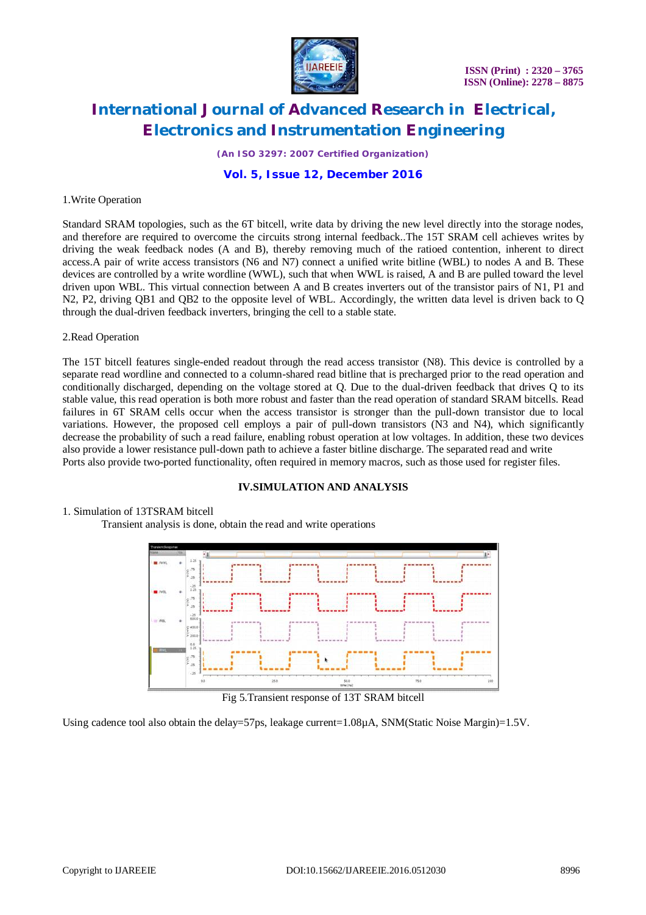

*(An ISO 3297: 2007 Certified Organization)*

# **Vol. 5, Issue 12, December 2016**

#### 1.Write Operation

Standard SRAM topologies, such as the 6T bitcell, write data by driving the new level directly into the storage nodes, and therefore are required to overcome the circuits strong internal feedback..The 15T SRAM cell achieves writes by driving the weak feedback nodes (A and B), thereby removing much of the ratioed contention, inherent to direct access.A pair of write access transistors (N6 and N7) connect a unified write bitline (WBL) to nodes A and B. These devices are controlled by a write wordline (WWL), such that when WWL is raised, A and B are pulled toward the level driven upon WBL. This virtual connection between A and B creates inverters out of the transistor pairs of N1, P1 and N2, P2, driving QB1 and QB2 to the opposite level of WBL. Accordingly, the written data level is driven back to Q through the dual-driven feedback inverters, bringing the cell to a stable state.

### 2.Read Operation

The 15T bitcell features single-ended readout through the read access transistor (N8). This device is controlled by a separate read wordline and connected to a column-shared read bitline that is precharged prior to the read operation and conditionally discharged, depending on the voltage stored at Q. Due to the dual-driven feedback that drives Q to its stable value, this read operation is both more robust and faster than the read operation of standard SRAM bitcells. Read failures in 6T SRAM cells occur when the access transistor is stronger than the pull-down transistor due to local variations. However, the proposed cell employs a pair of pull-down transistors (N3 and N4), which significantly decrease the probability of such a read failure, enabling robust operation at low voltages. In addition, these two devices also provide a lower resistance pull-down path to achieve a faster bitline discharge. The separated read and write Ports also provide two-ported functionality, often required in memory macros, such as those used for register files.

### **IV.SIMULATION AND ANALYSIS**

#### 1. Simulation of 13TSRAM bitcell

Transient analysis is done, obtain the read and write operations



Fig 5.Transient response of 13T SRAM bitcell

Using cadence tool also obtain the delay=57ps, leakage current=1.08µA, SNM(Static Noise Margin)=1.5V.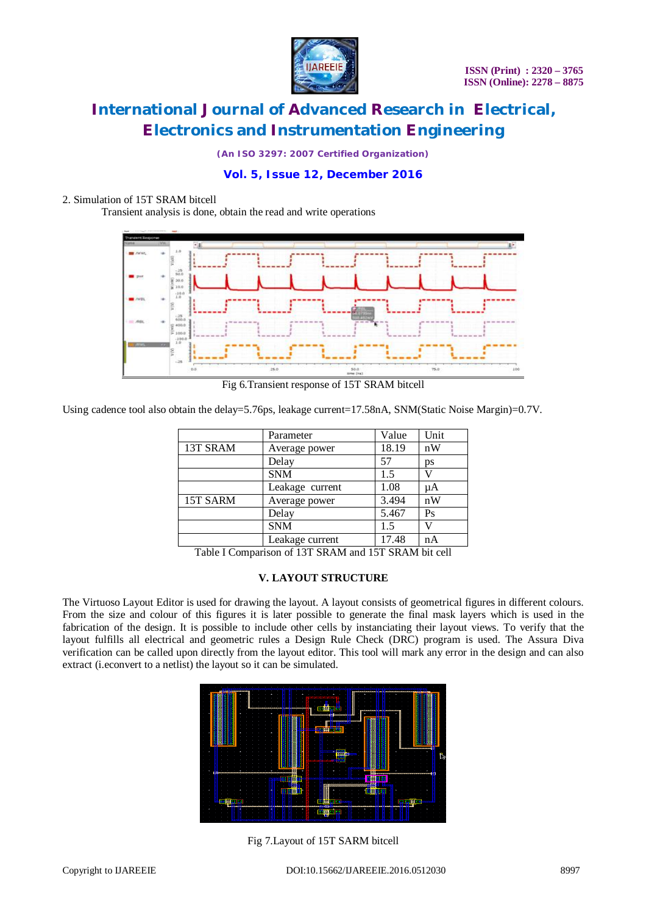

*(An ISO 3297: 2007 Certified Organization)*

# **Vol. 5, Issue 12, December 2016**

# 2. Simulation of 15T SRAM bitcell

Transient analysis is done, obtain the read and write operations



Fig 6.Transient response of 15T SRAM bitcell

Using cadence tool also obtain the delay=5.76ps, leakage current=17.58nA, SNM(Static Noise Margin)=0.7V.

|          | Parameter       | Value | Unit |
|----------|-----------------|-------|------|
| 13T SRAM | Average power   | 18.19 | nW   |
|          | Delay           | 57    | ps   |
|          | <b>SNM</b>      | 1.5   |      |
|          | Leakage current | 1.08  | μA   |
| 15T SARM | Average power   | 3.494 | nW   |
|          | Delay           | 5.467 | Ps   |
|          | <b>SNM</b>      | 1.5   | U    |
|          | Leakage current | 17.48 | nA   |

Table I Comparison of 13T SRAM and 15T SRAM bit cell

## **V. LAYOUT STRUCTURE**

The Virtuoso Layout Editor is used for drawing the layout. A layout consists of geometrical figures in different colours. From the size and colour of this figures it is later possible to generate the final mask layers which is used in the fabrication of the design. It is possible to include other cells by instanciating their layout views. To verify that the layout fulfills all electrical and geometric rules a Design Rule Check (DRC) program is used. The Assura Diva verification can be called upon directly from the layout editor. This tool will mark any error in the design and can also extract (i.econvert to a netlist) the layout so it can be simulated.



Fig 7.Layout of 15T SARM bitcell